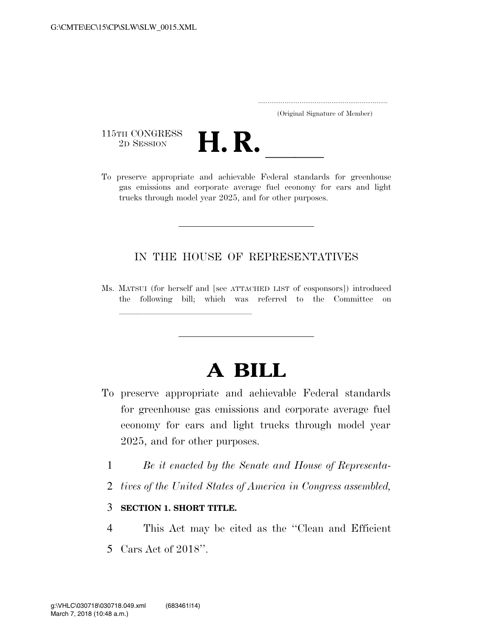|  | (Original Signature of Member) |  |
|--|--------------------------------|--|

115TH CONGRESS<br>2D SESSION



115TH CONGRESS<br>
2D SESSION<br>
To preserve appropriate and achievable Federal standards for greenhouse gas emissions and corporate average fuel economy for cars and light trucks through model year 2025, and for other purposes.

### IN THE HOUSE OF REPRESENTATIVES

Ms. MATSUI (for herself and [see ATTACHED LIST of cosponsors]) introduced the following bill; which was referred to the Committee on

# **A BILL**

- To preserve appropriate and achievable Federal standards for greenhouse gas emissions and corporate average fuel economy for cars and light trucks through model year 2025, and for other purposes.
	- 1 *Be it enacted by the Senate and House of Representa-*
	- 2 *tives of the United States of America in Congress assembled,*

#### 3 **SECTION 1. SHORT TITLE.**

llland and a state of the state of the state of the state of the state of the state of the state of the state o<br>The state of the state of the state of the state of the state of the state of the state of the state of the st

- 4 This Act may be cited as the ''Clean and Efficient
- 5 Cars Act of 2018''.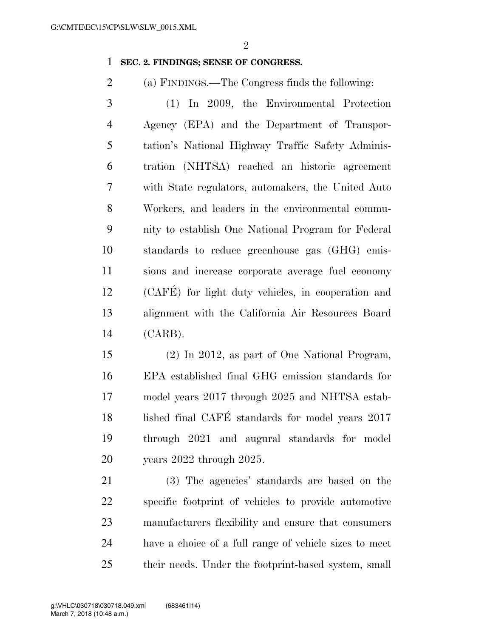#### **SEC. 2. FINDINGS; SENSE OF CONGRESS.**

(a) FINDINGS.—The Congress finds the following:

 (1) In 2009, the Environmental Protection Agency (EPA) and the Department of Transpor- tation's National Highway Traffic Safety Adminis- tration (NHTSA) reached an historic agreement with State regulators, automakers, the United Auto Workers, and leaders in the environmental commu- nity to establish One National Program for Federal standards to reduce greenhouse gas (GHG) emis- sions and increase corporate average fuel economy (CAFE´) for light duty vehicles, in cooperation and alignment with the California Air Resources Board (CARB).

 (2) In 2012, as part of One National Program, EPA established final GHG emission standards for model years 2017 through 2025 and NHTSA estab-18 lished final CAFÉ standards for model years 2017 through 2021 and augural standards for model years 2022 through 2025.

 (3) The agencies' standards are based on the specific footprint of vehicles to provide automotive manufacturers flexibility and ensure that consumers have a choice of a full range of vehicle sizes to meet their needs. Under the footprint-based system, small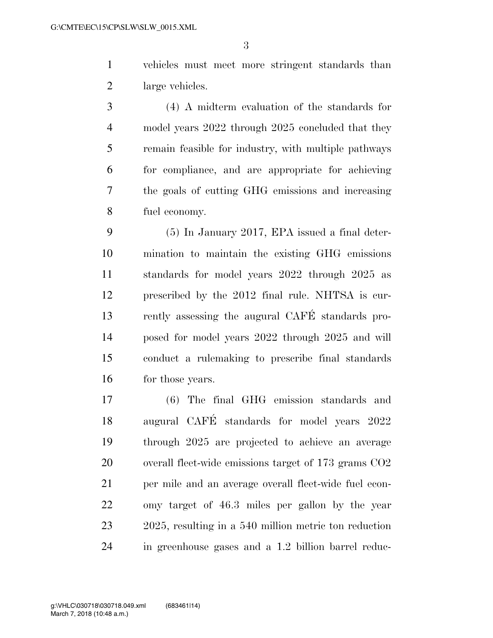vehicles must meet more stringent standards than large vehicles.

 (4) A midterm evaluation of the standards for 4 model years 2022 through 2025 concluded that they remain feasible for industry, with multiple pathways for compliance, and are appropriate for achieving the goals of cutting GHG emissions and increasing fuel economy.

 (5) In January 2017, EPA issued a final deter- mination to maintain the existing GHG emissions standards for model years 2022 through 2025 as prescribed by the 2012 final rule. NHTSA is cur- rently assessing the augural CAFE´ standards pro- posed for model years 2022 through 2025 and will conduct a rulemaking to prescribe final standards 16 for those years.

 (6) The final GHG emission standards and augural CAFE´ standards for model years 2022 through 2025 are projected to achieve an average overall fleet-wide emissions target of 173 grams CO2 per mile and an average overall fleet-wide fuel econ- omy target of 46.3 miles per gallon by the year 2025, resulting in a 540 million metric ton reduction in greenhouse gases and a 1.2 billion barrel reduc-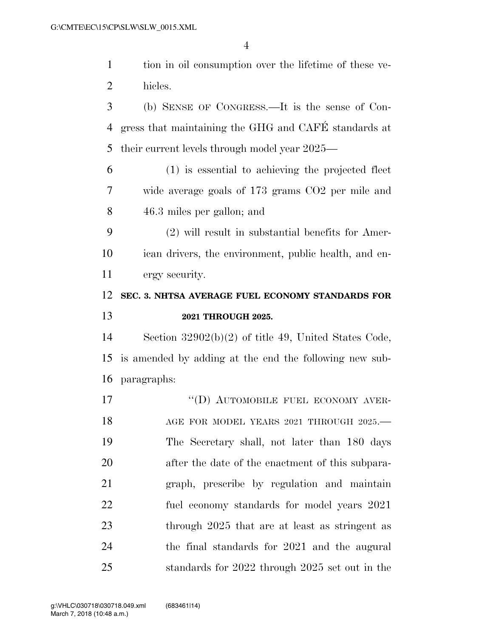|                | $\overline{4}$                                         |
|----------------|--------------------------------------------------------|
| $\mathbf{1}$   | tion in oil consumption over the lifetime of these ve- |
| $\overline{2}$ | hicles.                                                |
| 3              | (b) SENSE OF CONGRESS.—It is the sense of Con-         |
| 4              | gress that maintaining the GHG and CAFÉ standards at   |
| 5              | their current levels through model year 2025—          |
| 6              | (1) is essential to achieving the projected fleet      |
| 7              | wide average goals of 173 grams CO2 per mile and       |
| 8              | 46.3 miles per gallon; and                             |
| 9              | $(2)$ will result in substantial benefits for Amer-    |
| 10             | ican drivers, the environment, public health, and en-  |
| 11             | ergy security.                                         |
|                |                                                        |
| 12             | SEC. 3. NHTSA AVERAGE FUEL ECONOMY STANDARDS FOR       |
| 13             | 2021 THROUGH 2025.                                     |
| 14             | Section $32902(b)(2)$ of title 49, United States Code, |
| 15             | is amended by adding at the end the following new sub- |
|                | 16 paragraphs:                                         |
| 17             | "(D) AUTOMOBILE FUEL ECONOMY AVER-                     |
| 18             | AGE FOR MODEL YEARS 2021 THROUGH 2025.-                |
| 19             | The Secretary shall, not later than 180 days           |
| 20             | after the date of the enactment of this subpara-       |
| 21             | graph, prescribe by regulation and maintain            |
| 22             | fuel economy standards for model years 2021            |

the final standards for 2021 and the augural

standards for 2022 through 2025 set out in the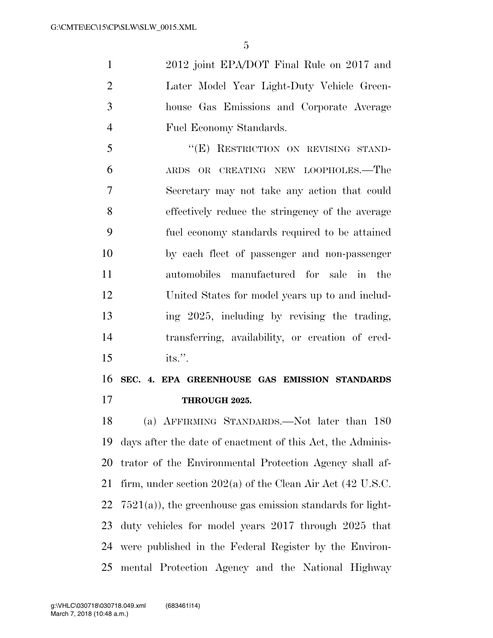2012 joint EPA/DOT Final Rule on 2017 and Later Model Year Light-Duty Vehicle Green- house Gas Emissions and Corporate Average Fuel Economy Standards.

 ''(E) RESTRICTION ON REVISING STAND- ARDS OR CREATING NEW LOOPHOLES.—The Secretary may not take any action that could effectively reduce the stringency of the average fuel economy standards required to be attained by each fleet of passenger and non-passenger automobiles manufactured for sale in the United States for model years up to and includ- ing 2025, including by revising the trading, transferring, availability, or creation of cred-its.''.

## **SEC. 4. EPA GREENHOUSE GAS EMISSION STANDARDS THROUGH 2025.**

 (a) AFFIRMING STANDARDS.—Not later than 180 days after the date of enactment of this Act, the Adminis- trator of the Environmental Protection Agency shall af- firm, under section 202(a) of the Clean Air Act (42 U.S.C.  $7521(a)$ , the greenhouse gas emission standards for light- duty vehicles for model years 2017 through 2025 that were published in the Federal Register by the Environ-mental Protection Agency and the National Highway